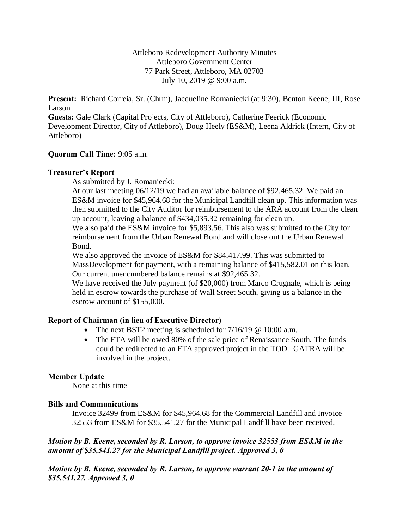Attleboro Redevelopment Authority Minutes Attleboro Government Center 77 Park Street, Attleboro, MA 02703 July 10, 2019 @ 9:00 a.m.

**Present:** Richard Correia, Sr. (Chrm), Jacqueline Romaniecki (at 9:30), Benton Keene, III, Rose Larson

**Guests:** Gale Clark (Capital Projects, City of Attleboro), Catherine Feerick (Economic Development Director, City of Attleboro), Doug Heely (ES&M), Leena Aldrick (Intern, City of Attleboro)

## **Quorum Call Time:** 9:05 a.m.

## **Treasurer's Report**

As submitted by J. Romaniecki:

At our last meeting 06/12/19 we had an available balance of \$92.465.32. We paid an ES&M invoice for \$45,964.68 for the Municipal Landfill clean up. This information was then submitted to the City Auditor for reimbursement to the ARA account from the clean up account, leaving a balance of \$434,035.32 remaining for clean up.

We also paid the ES&M invoice for \$5,893.56. This also was submitted to the City for reimbursement from the Urban Renewal Bond and will close out the Urban Renewal Bond.

We also approved the invoice of ES&M for \$84,417.99. This was submitted to MassDevelopment for payment, with a remaining balance of \$415,582.01 on this loan. Our current unencumbered balance remains at \$92,465.32.

We have received the July payment (of \$20,000) from Marco Crugnale, which is being held in escrow towards the purchase of Wall Street South, giving us a balance in the escrow account of \$155,000.

# **Report of Chairman (in lieu of Executive Director)**

- The next BST2 meeting is scheduled for  $7/16/19$  @ 10:00 a.m.
- The FTA will be owed 80% of the sale price of Renaissance South. The funds could be redirected to an FTA approved project in the TOD. GATRA will be involved in the project.

### **Member Update**

None at this time

# **Bills and Communications**

Invoice 32499 from ES&M for \$45,964.68 for the Commercial Landfill and Invoice 32553 from ES&M for \$35,541.27 for the Municipal Landfill have been received.

# *Motion by B. Keene, seconded by R. Larson, to approve invoice 32553 from ES&M in the amount of \$35,541.27 for the Municipal Landfill project. Approved 3, 0*

*Motion by B. Keene, seconded by R. Larson, to approve warrant 20-1 in the amount of \$35,541.27. Approved 3, 0*